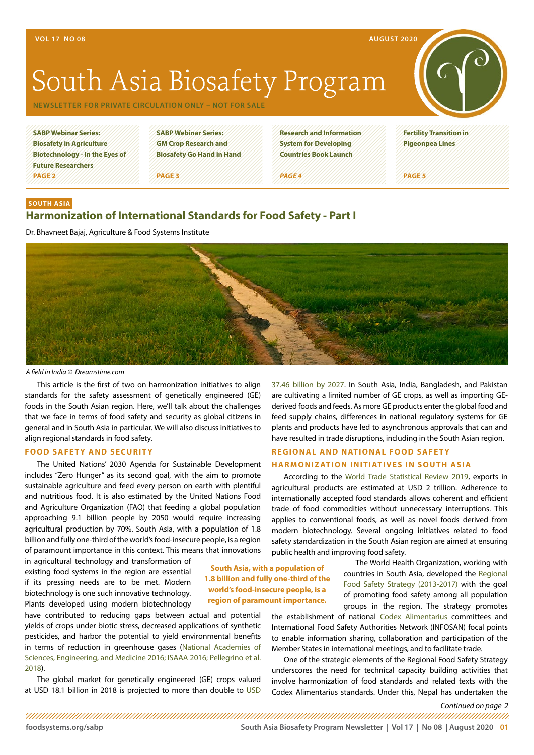# **Harmonization of International Standards for Food Safety - Part I**

Dr. Bhavneet Bajaj, Agriculture & Food Systems Institute



*A field in India © Dreamstime.com*

**SOUTH ASIA**

This article is the first of two on harmonization initiatives to align standards for the safety assessment of genetically engineered (GE) foods in the South Asian region. Here, we'll talk about the challenges that we face in terms of food safety and security as global citizens in general and in South Asia in particular. We will also discuss initiatives to align regional standards in food safety.

## **FOOD SAFETY AND SECURITY**

The United Nations' 2030 Agenda for Sustainable Development includes "Zero Hunger" as its second goal, with the aim to promote sustainable agriculture and feed every person on earth with plentiful and nutritious food. It is also estimated by the United Nations Food and Agriculture Organization (FAO) that feeding a global population approaching 9.1 billion people by 2050 would require increasing agricultural production by 70%. South Asia, with a population of 1.8 billion and fully one-third of the world's food-insecure people, is a region of paramount importance in this context. This means that innovations

in agricultural technology and transformation of existing food systems in the region are essential if its pressing needs are to be met. Modern biotechnology is one such innovative technology. Plants developed using modern biotechnology

have contributed to reducing gaps between actual and potential yields of crops under biotic stress, decreased applications of synthetic pesticides, and harbor the potential to yield environmental benefits in terms of reduction in greenhouse gases [\(National Academies of](https://www.nap.edu/catalog/23395/genetically-engineered-crops-experiences-and-prospects)  [Sciences, Engineering, and Medicine 2016](https://www.nap.edu/catalog/23395/genetically-engineered-crops-experiences-and-prospects); [ISAAA 2016](http://www.isaaa.org/resources/publications/briefs/52/download/isaaa-brief-52-2016.pdf); Pellegrino et al. 2018).

The global market for genetically engineered (GE) crops valued at [USD](https://www.coherentmarketinsights.com/press-release/genetically-modified-crops-market-2825) 18.1 billion in 2018 is projected to more than double to USD [37.46 billion by 2027.](https://www.coherentmarketinsights.com/press-release/genetically-modified-crops-market-2825) In South Asia, India, Bangladesh, and Pakistan are cultivating a limited number of GE crops, as well as importing GEderived foods and feeds. As more GE products enter the global food and feed supply chains, differences in national regulatory systems for GE plants and products have led to asynchronous approvals that can and have resulted in trade disruptions, including in the South Asian region.

## **REGIONAL AND NATIONAL FOOD SAFETY HARMONIZATION INITIATIVES IN SOUTH ASIA**

According to the [World Trade Statistical Review 2019](https://www.wto.org/english/res_e/statis_e/wts2019_e/wts2019_e.pdf), exports in agricultural products are estimated at USD 2 trillion. Adherence to internationally accepted food standards allows coherent and efficient trade of food commodities without unnecessary interruptions. This applies to conventional foods, as well as novel foods derived from modern biotechnology. Several ongoing initiatives related to food safety standardization in the South Asian region are aimed at ensuring public health and improving food safety.

> The World Health Organization, working with countries in South Asia, developed the [Regional](https://apps.who.int/iris/handle/10665/205746) [Food Safety Strategy \(2013-2017](https://apps.who.int/iris/handle/10665/205746)) with the goal of promoting food safety among all population groups in the region. The strategy promotes

the establishment of national [Codex Alimentarius](http://www.fao.org/fao-who-codexalimentarius/en/) committees and International Food Safety Authorities Network (INFOSAN) focal points to enable information sharing, collaboration and participation of the Member States in international meetings, and to facilitate trade.

One of the strategic elements of the Regional Food Safety Strategy underscores the need for technical capacity building activities that involve harmonization of food standards and related texts with the Codex Alimentarius standards. Under this, Nepal has undertaken the

*Continued on page 2*

**[foodsystems.org/sabp](http://foodsystems.org/sabp) South Asia Biosafety Program Newsletter | Vol 17 | No 08 | August 2020 01**

**South Asia, with a population of 1.8 billion and fully one-third of the world's food-insecure people, is a region of paramount importance.**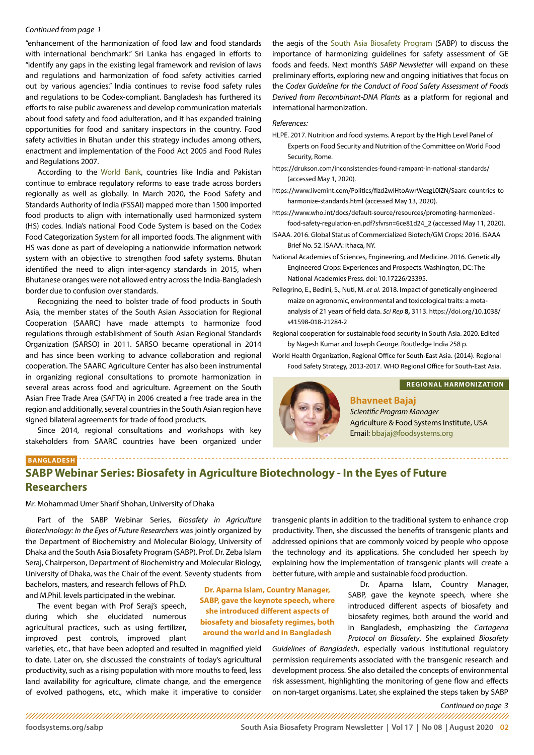#### <span id="page-1-0"></span>*Continued from page 1*

"enhancement of the harmonization of food law and food standards with international benchmark." Sri Lanka has engaged in efforts to "identify any gaps in the existing legal framework and revision of laws and regulations and harmonization of food safety activities carried out by various agencies." India continues to revise food safety rules and regulations to be Codex-compliant. Bangladesh has furthered its efforts to raise public awareness and develop communication materials about food safety and food adulteration, and it has expanded training opportunities for food and sanitary inspectors in the country. Food safety activities in Bhutan under this strategy includes among others, enactment and implementation of the Food Act 2005 and Food Rules and Regulations 2007.

According to the [World Bank](https://www.doingbusiness.org/content/dam/doingBusiness/media/Profiles/Regional/DB2020/SA.pdf), countries like India and Pakistan continue to embrace regulatory reforms to ease trade across borders regionally as well as globally. In March 2020, the Food Safety and Standards Authority of India (FSSAI) mapped more than 1500 imported food products to align with internationally used harmonized system (HS) codes. India's national Food Code System is based on the Codex Food Categorization System for all imported foods. The alignment with HS was done as part of developing a nationwide information network system with an objective to strengthen food safety systems. Bhutan identified the need to align inter-agency standards in 2015, when Bhutanese oranges were not allowed entry across the India-Bangladesh border due to confusion over standards.

Recognizing the need to bolster trade of food products in South Asia, the member states of the South Asian Association for Regional Cooperation (SAARC) have made attempts to harmonize food regulations through establishment of South Asian Regional Standards Organization (SARSO) in 2011. SARSO became operational in 2014 and has since been working to advance collaboration and regional cooperation. The SAARC Agriculture Center has also been instrumental in organizing regional consultations to promote harmonization in several areas across food and agriculture. Agreement on the South Asian Free Trade Area (SAFTA) in 2006 created a free trade area in the region and additionally, several countries in the South Asian region have signed bilateral agreements for trade of food products.

Since 2014, regional consultations and workshops with key stakeholders from SAARC countries have been organized under the aegis of the [South Asia Biosafety Program](https://foodsystems.org/what-we-do/biosafety/sabp/) (SABP) to discuss the importance of harmonizing guidelines for safety assessment of GE foods and feeds. Next month's *SABP Newsletter* will expand on these preliminary efforts, exploring new and ongoing initiatives that focus on the *Codex Guideline for the Conduct of Food Safety Assessment of Foods Derived from Recombinant-DNA Plants* as a platform for regional and international harmonization.

### *References:*

- HLPE. 2017. Nutrition and food systems. A report by the High Level Panel of Experts on Food Security and Nutrition of the Committee on World Food Security, Rome.
- <https://drukson.com/inconsistencies-found-rampant-in-national-standards/> (accessed May 1, 2020).
- [https://www.livemint.com/Politics/fIzd2wlHtoAwrWezgL0lZN/Saarc-countries-to](https://www.livemint.com/Politics/fIzd2wlHtoAwrWezgL0lZN/Saarc-countries-to-harmonize-standards.html)[harmonize-standards.html](https://www.livemint.com/Politics/fIzd2wlHtoAwrWezgL0lZN/Saarc-countries-to-harmonize-standards.html) (accessed May 13, 2020).
- [https://www.who.int/docs/default-source/resources/promoting-harmonized](https://www.who.int/docs/default-source/resources/promoting-harmonized-food-safety-regulation-en.pdf?sfvrsn=6ce81d24_2)[food-safety-regulation-en.pdf?sfvrsn=6ce81d24\\_2](https://www.who.int/docs/default-source/resources/promoting-harmonized-food-safety-regulation-en.pdf?sfvrsn=6ce81d24_2) (accessed May 11, 2020).
- ISAAA. 2016. Global Status of Commercialized Biotech/GM Crops: 2016. ISAAA Brief No. 52. ISAAA: Ithaca, NY.
- National Academies of Sciences, Engineering, and Medicine. 2016. Genetically Engineered Crops: Experiences and Prospects. Washington, DC: The National Academies Press. doi: 10.17226/23395.
- Pellegrino, E., Bedini, S., Nuti, M. *et al.* 2018. Impact of genetically engineered maize on agronomic, environmental and toxicological traits: a metaanalysis of 21 years of field data. *Sci Rep* **8,** 3113. [https://doi.org/10.1038/](https://doi.org/10.1038/s41598-018-21284-2) [s41598-018-21284-2](https://doi.org/10.1038/s41598-018-21284-2)

Regional cooperation for sustainable food security in South Asia. 2020. Edited by Nagesh Kumar and Joseph George. Routledge India 258 p.

World Health Organization, Regional Office for South-East Asia. (2014). Regional Food Safety Strategy, 2013-2017. WHO Regional Office for South-East Asia.



### **REGIONAL HARMONIZATION**

**Bhavneet Bajaj** *Scientific Program Manager* Agriculture & Food Systems Institute, USA Email: bbajaj@foodsystems.org

## **BANGLADESH SABP Webinar Series: Biosafety in Agriculture Biotechnology - In the Eyes of Future Researchers**

Mr. Mohammad Umer Sharif Shohan, University of Dhaka

Part of the SABP Webinar Series, *Biosafety in Agriculture Biotechnology: In the Eyes of Future Researchers* was jointly organized by the Department of Biochemistry and Molecular Biology, University of Dhaka and the South Asia Biosafety Program (SABP). Prof. Dr. Zeba Islam Seraj, Chairperson, Department of Biochemistry and Molecular Biology, University of Dhaka, was the Chair of the event. Seventy students from

bachelors, masters, and research fellows of Ph.D. and M.Phil. levels participated in the webinar.

The event began with Prof Seraj's speech, during which she elucidated numerous agricultural practices, such as using fertilizer, improved pest controls, improved plant

varieties, etc., that have been adopted and resulted in magnified yield to date. Later on, she discussed the constraints of today's agricultural productivity, such as a rising population with more mouths to feed, less land availability for agriculture, climate change, and the emergence of evolved pathogens, etc., which make it imperative to consider transgenic plants in addition to the traditional system to enhance crop productivity. Then, she discussed the benefits of transgenic plants and addressed opinions that are commonly voiced by people who oppose the technology and its applications. She concluded her speech by explaining how the implementation of transgenic plants will create a better future, with ample and sustainable food production.

> Dr. Aparna Islam, Country Manager, SABP, gave the keynote speech, where she introduced different aspects of biosafety and biosafety regimes, both around the world and in Bangladesh, emphasizing the *Cartagena Protocol on Biosafety*. She explained *Biosafety*

*Guidelines of Bangladesh*, especially various institutional regulatory permission requirements associated with the transgenic research and development process. She also detailed the concepts of environmental risk assessment, highlighting the monitoring of gene flow and effects on non-target organisms. Later, she explained the steps taken by SABP

*Continued on page 3*

**[foodsystems.org/sabp](http://foodsystems.org/sabp) South Asia Biosafety Program Newsletter | Vol 17 | No 08 | August 2020 02**

**Dr. Aparna Islam, Country Manager, SABP, gave the keynote speech, where she introduced different aspects of biosafety and biosafety regimes, both around the world and in Bangladesh**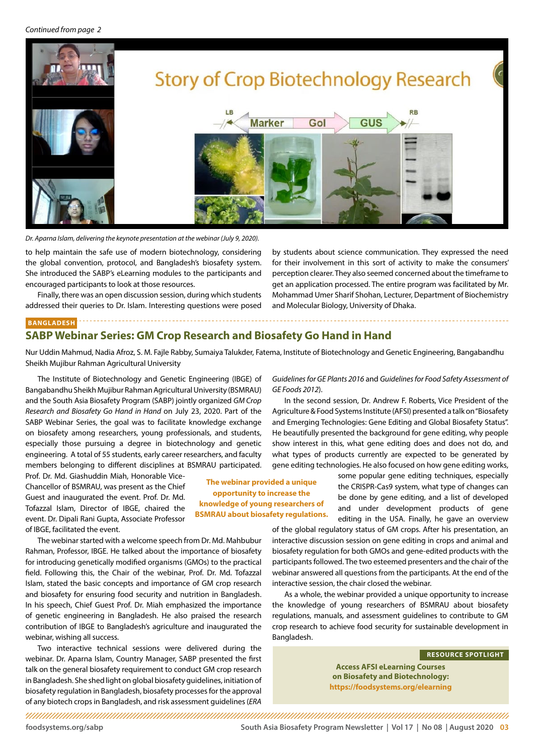<span id="page-2-0"></span>

*Dr. Aparna Islam, delivering the keynote presentation at the webinar (July 9, 2020).*

to help maintain the safe use of modern biotechnology, considering the global convention, protocol, and Bangladesh's biosafety system. She introduced the SABP's eLearning modules to the participants and encouraged participants to look at those resources.

Finally, there was an open discussion session, during which students addressed their queries to Dr. Islam. Interesting questions were posed

by students about science communication. They expressed the need for their involvement in this sort of activity to make the consumers' perception clearer. They also seemed concerned about the timeframe to get an application processed. The entire program was facilitated by Mr. Mohammad Umer Sharif Shohan, Lecturer, Department of Biochemistry and Molecular Biology, University of Dhaka.

## **BANGLADESH**

## **SABP Webinar Series: GM Crop Research and Biosafety Go Hand in Hand**

Nur Uddin Mahmud, Nadia Afroz, S. M. Fajle Rabby, Sumaiya Talukder, Fatema, Institute of Biotechnology and Genetic Engineering, Bangabandhu Sheikh Mujibur Rahman Agricultural University

> **The webinar provided a unique opportunity to increase the knowledge of young researchers of BSMRAU about biosafety regulations.**

The Institute of Biotechnology and Genetic Engineering (IBGE) of Bangabandhu Sheikh Mujibur Rahman Agricultural University (BSMRAU) and the South Asia Biosafety Program (SABP) jointly organized *GM Crop Research and Biosafety Go Hand in Hand* on July 23, 2020. Part of the SABP Webinar Series, the goal was to facilitate knowledge exchange on biosafety among researchers, young professionals, and students, especially those pursuing a degree in biotechnology and genetic engineering. A total of 55 students, early career researchers, and faculty members belonging to different disciplines at BSMRAU participated.

Prof. Dr. Md. Giashuddin Miah, Honorable Vice-Chancellor of BSMRAU, was present as the Chief Guest and inaugurated the event. Prof. Dr. Md. Tofazzal Islam, Director of IBGE, chaired the event. Dr. Dipali Rani Gupta, Associate Professor of IBGE, facilitated the event.

The webinar started with a welcome speech from Dr. Md. Mahbubur Rahman, Professor, IBGE. He talked about the importance of biosafety for introducing genetically modified organisms (GMOs) to the practical field. Following this, the Chair of the webinar, Prof. Dr. Md. Tofazzal Islam, stated the basic concepts and importance of GM crop research and biosafety for ensuring food security and nutrition in Bangladesh. In his speech, Chief Guest Prof. Dr. Miah emphasized the importance of genetic engineering in Bangladesh. He also praised the research contribution of IBGE to Bangladesh's agriculture and inaugurated the webinar, wishing all success.

Two interactive technical sessions were delivered during the webinar. Dr. Aparna Islam, Country Manager, SABP presented the first talk on the general biosafety requirement to conduct GM crop research in Bangladesh. She shed light on global biosafety guidelines, initiation of biosafety regulation in Bangladesh, biosafety processes for the approval of any biotech crops in Bangladesh, and risk assessment guidelines (*ERA* 

## *Guidelines for GE Plants 2016* and *Guidelines for Food Safety Assessment of GE Foods 2012*).

In the second session, Dr. Andrew F. Roberts, Vice President of the Agriculture & Food Systems Institute (AFSI) presented a talk on "Biosafety and Emerging Technologies: Gene Editing and Global Biosafety Status". He beautifully presented the background for gene editing, why people show interest in this, what gene editing does and does not do, and what types of products currently are expected to be generated by gene editing technologies. He also focused on how gene editing works,

some popular gene editing techniques, especially the CRISPR-Cas9 system, what type of changes can be done by gene editing, and a list of developed and under development products of gene editing in the USA. Finally, he gave an overview

of the global regulatory status of GM crops. After his presentation, an interactive discussion session on gene editing in crops and animal and biosafety regulation for both GMOs and gene-edited products with the participants followed. The two esteemed presenters and the chair of the webinar answered all questions from the participants. At the end of the interactive session, the chair closed the webinar.

As a whole, the webinar provided a unique opportunity to increase the knowledge of young researchers of BSMRAU about biosafety regulations, manuals, and assessment guidelines to contribute to GM crop research to achieve food security for sustainable development in Bangladesh.

#### **RESOURCE SPOTLIGHT**

**Access AFSI eLearning Courses on Biosafety and Biotechnology: <https://foodsystems.org/elearning>**

**[foodsystems.org/sabp](http://foodsystems.org/sabp) South Asia Biosafety Program Newsletter | Vol 17 | No 08 | August 2020 03**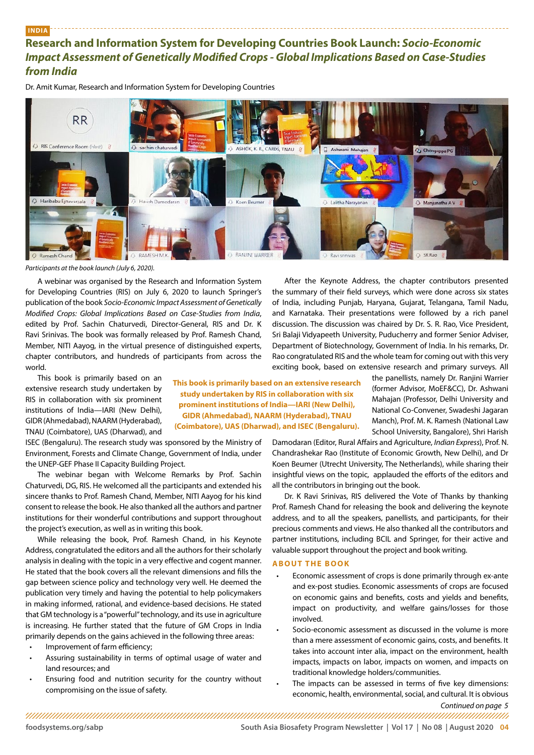## <span id="page-3-0"></span>**INDIA**

## **Research and Information System for Developing Countries Book Launch:** *Socio-Economic Impact Assessment of Genetically Modified Crops - Global Implications Based on Case-Studies from India*

Dr. Amit Kumar, Research and Information System for Developing Countries



**This book is primarily based on an extensive research study undertaken by RIS in collaboration with six prominent institutions of India—IARI (New Delhi), GIDR (Ahmedabad), NAARM (Hyderabad), TNAU** 

### *Participants at the book launch (July 6, 2020).*

A webinar was organised by the Research and Information System for Developing Countries (RIS) on July 6, 2020 to launch Springer's publication of the book *Socio-Economic Impact Assessment of Genetically Modified Crops: Global Implications Based on Case-Studies from India*, edited by Prof. Sachin Chaturvedi, Director-General, RIS and Dr. K Ravi Srinivas. The book was formally released by Prof. Ramesh Chand, Member, NITI Aayog, in the virtual presence of distinguished experts, chapter contributors, and hundreds of participants from across the world.

This book is primarily based on an extensive research study undertaken by RIS in collaboration with six prominent institutions of India—IARI (New Delhi), GIDR (Ahmedabad), NAARM (Hyderabad), TNAU (Coimbatore), UAS (Dharwad), and

ISEC (Bengaluru). The research study was sponsored by the Ministry of Environment, Forests and Climate Change, Government of India, under the UNEP-GEF Phase II Capacity Building Project.

The webinar began with Welcome Remarks by Prof. Sachin Chaturvedi, DG, RIS. He welcomed all the participants and extended his sincere thanks to Prof. Ramesh Chand, Member, NITI Aayog for his kind consent to release the book. He also thanked all the authors and partner institutions for their wonderful contributions and support throughout the project's execution, as well as in writing this book.

While releasing the book, Prof. Ramesh Chand, in his Keynote Address, congratulated the editors and all the authors for their scholarly analysis in dealing with the topic in a very effective and cogent manner. He stated that the book covers all the relevant dimensions and fills the gap between science policy and technology very well. He deemed the publication very timely and having the potential to help policymakers in making informed, rational, and evidence-based decisions. He stated that GM technology is a "powerful" technology, and its use in agriculture is increasing. He further stated that the future of GM Crops in India primarily depends on the gains achieved in the following three areas:

- Improvement of farm efficiency;
- Assuring sustainability in terms of optimal usage of water and land resources; and
- Ensuring food and nutrition security for the country without compromising on the issue of safety.

After the Keynote Address, the chapter contributors presented the summary of their field surveys, which were done across six states of India, including Punjab, Haryana, Gujarat, Telangana, Tamil Nadu, and Karnataka. Their presentations were followed by a rich panel discussion. The discussion was chaired by Dr. S. R. Rao, Vice President, Sri Balaji Vidyapeeth University, Puducherry and former Senior Adviser, Department of Biotechnology, Government of India. In his remarks, Dr. Rao congratulated RIS and the whole team for coming out with this very exciting book, based on extensive research and primary surveys. All

> the panellists, namely Dr. Ranjini Warrier (former Advisor, MoEF&CC), Dr. Ashwani Mahajan (Professor, Delhi University and National Co-Convener, Swadeshi Jagaran Manch), Prof. M. K. Ramesh (National Law School University, Bangalore), Shri Harish

Damodaran (Editor, Rural Affairs and Agriculture, *Indian Express*), Prof. N. Chandrashekar Rao (Institute of Economic Growth, New Delhi), and Dr Koen Beumer (Utrecht University, The Netherlands), while sharing their insightful views on the topic, applauded the efforts of the editors and all the contributors in bringing out the book. **(Coimbatore), UAS (Dharwad), and ISEC (Bengaluru).** 

> Dr. K Ravi Srinivas, RIS delivered the Vote of Thanks by thanking Prof. Ramesh Chand for releasing the book and delivering the keynote address, and to all the speakers, panellists, and participants, for their precious comments and views. He also thanked all the contributors and partner institutions, including BCIL and Springer, for their active and valuable support throughout the project and book writing.

## **ABOUT THE BOOK**

- Economic assessment of crops is done primarily through ex-ante and ex-post studies. Economic assessments of crops are focused on economic gains and benefits, costs and yields and benefits, impact on productivity, and welfare gains/losses for those involved.
- Socio-economic assessment as discussed in the volume is more than a mere assessment of economic gains, costs, and benefits. It takes into account inter alia, impact on the environment, health impacts, impacts on labor, impacts on women, and impacts on traditional knowledge holders/communities.
- *Continued on page 5* The impacts can be assessed in terms of five key dimensions: economic, health, environmental, social, and cultural. It is obvious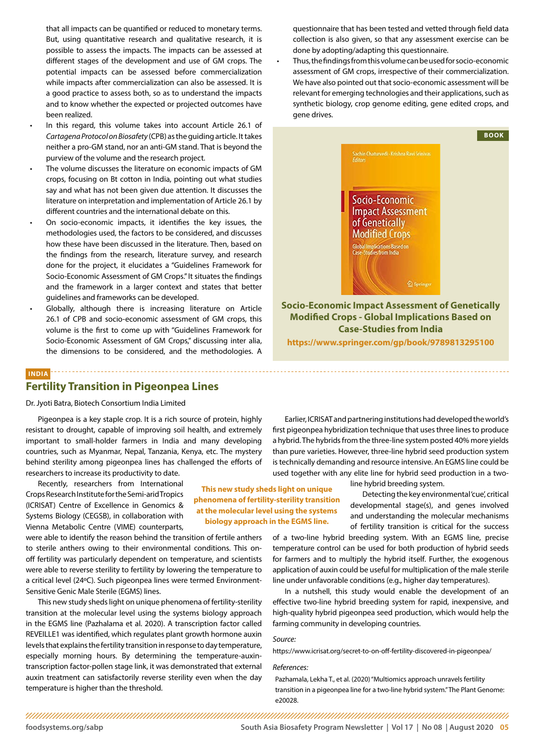<span id="page-4-0"></span>that all impacts can be quantified or reduced to monetary terms. But, using quantitative research and qualitative research, it is possible to assess the impacts. The impacts can be assessed at different stages of the development and use of GM crops. The potential impacts can be assessed before commercialization while impacts after commercialization can also be assessed. It is a good practice to assess both, so as to understand the impacts and to know whether the expected or projected outcomes have been realized.

- In this regard, this volume takes into account Article 26.1 of *Cartagena Protocol on Biosafety* (CPB) as the guiding article. It takes neither a pro-GM stand, nor an anti-GM stand. That is beyond the purview of the volume and the research project.
- The volume discusses the literature on economic impacts of GM crops, focusing on Bt cotton in India, pointing out what studies say and what has not been given due attention. It discusses the literature on interpretation and implementation of Article 26.1 by different countries and the international debate on this.
- On socio-economic impacts, it identifies the key issues, the methodologies used, the factors to be considered, and discusses how these have been discussed in the literature. Then, based on the findings from the research, literature survey, and research done for the project, it elucidates a "Guidelines Framework for Socio-Economic Assessment of GM Crops." It situates the findings and the framework in a larger context and states that better guidelines and frameworks can be developed.
- Globally, although there is increasing literature on Article 26.1 of CPB and socio-economic assessment of GM crops, this volume is the first to come up with "Guidelines Framework for Socio-Economic Assessment of GM Crops," discussing inter alia, the dimensions to be considered, and the methodologies. A

# **INDIA Fertility Transition in Pigeonpea Lines**

Dr. Jyoti Batra, Biotech Consortium India Limited

Pigeonpea is a key staple crop. It is a rich source of protein, highly resistant to drought, capable of improving soil health, and extremely important to small-holder farmers in India and many developing countries, such as Myanmar, Nepal, Tanzania, Kenya, etc. The mystery behind sterility among pigeonpea lines has challenged the efforts of researchers to increase its productivity to date.

Recently, researchers from International Crops Research Institute for the Semi-arid Tropics (ICRISAT) Centre of Excellence in Genomics & Systems Biology (CEGSB), in collaboration with Vienna Metabolic Centre (VIME) counterparts,

were able to identify the reason behind the transition of fertile anthers to sterile anthers owing to their environmental conditions. This onoff fertility was particularly dependent on temperature, and scientists were able to reverse sterility to fertility by lowering the temperature to a critical level (24°C). Such pigeonpea lines were termed Environment-Sensitive Genic Male Sterile (EGMS) lines.

This new study sheds light on unique phenomena of fertility-sterility transition at the molecular level using the systems biology approach in the EGMS line (Pazhalama et al. 2020). A transcription factor called REVEILLE1 was identified, which regulates plant growth hormone auxin levels that explains the fertility transition in response to day temperature, especially morning hours. By determining the temperature-auxintranscription factor-pollen stage link, it was demonstrated that external auxin treatment can satisfactorily reverse sterility even when the day temperature is higher than the threshold.

questionnaire that has been tested and vetted through field data collection is also given, so that any assessment exercise can be done by adopting/adapting this questionnaire.

• Thus, the findings from this volume can be used for socio-economic assessment of GM crops, irrespective of their commercialization. We have also pointed out that socio-economic assessment will be relevant for emerging technologies and their applications, such as synthetic biology, crop genome editing, gene edited crops, and gene drives.



**<https://www.springer.com/gp/book/9789813295100>**

Earlier, ICRISAT and partnering institutions had developed the world's first pigeonpea hybridization technique that uses three lines to produce a hybrid. The hybrids from the three-line system posted 40% more yields than pure varieties. However, three-line hybrid seed production system is technically demanding and resource intensive. An EGMS line could be used together with any elite line for hybrid seed production in a two-

line hybrid breeding system.

Detecting the key environmental 'cue', critical developmental stage(s), and genes involved and understanding the molecular mechanisms of fertility transition is critical for the success

of a two‐line hybrid breeding system. With an EGMS line, precise temperature control can be used for both production of hybrid seeds for farmers and to multiply the hybrid itself. Further, the exogenous application of auxin could be useful for multiplication of the male sterile line under unfavorable conditions (e.g., higher day temperatures).

In a nutshell, this study would enable the development of an effective two-line hybrid breeding system for rapid, inexpensive, and high-quality hybrid pigeonpea seed production, which would help the farming community in developing countries.

#### *Source:*

<https://www.icrisat.org/secret-to-on-off-fertility-discovered-in-pigeonpea/>

#### *References:*

Pazhamala, Lekha T., et al. (2020) "Multiomics approach unravels fertility transition in a pigeonpea line for a two-line hybrid system." The Plant Genome: e20028.

**This new study sheds light on unique phenomena of fertility-sterility transition at the molecular level using the systems biology approach in the EGMS line.**